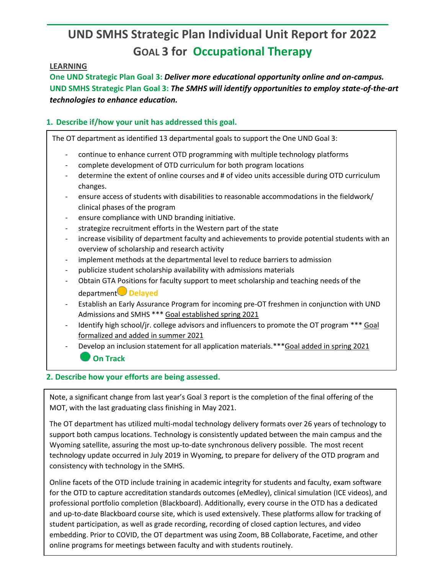# **UND SMHS Strategic Plan Individual Unit Report for 2022 GOAL 3 for Occupational Therapy**

## **LEARNING**

**One UND Strategic Plan Goal 3:** *Deliver more educational opportunity online and on-campus.* **UND SMHS Strategic Plan Goal 3:** *The SMHS will identify opportunities to employ state-of-the-art technologies to enhance education.*

## **1. Describe if/how your unit has addressed this goal.**

The OT department as identified 13 departmental goals to support the One UND Goal 3:

- continue to enhance current OTD programming with multiple technology platforms
- complete development of OTD curriculum for both program locations
- determine the extent of online courses and # of video units accessible during OTD curriculum changes.
- ensure access of students with disabilities to reasonable accommodations in the fieldwork/ clinical phases of the program
- ensure compliance with UND branding initiative.
- strategize recruitment efforts in the Western part of the state
- increase visibility of department faculty and achievements to provide potential students with an overview of scholarship and research activity
- implement methods at the departmental level to reduce barriers to admission
- publicize student scholarship availability with admissions materials
- Obtain GTA Positions for faculty support to meet scholarship and teaching needs of the department **Delayed**
- Establish an Early Assurance Program for incoming pre-OT freshmen in conjunction with UND Admissions and SMHS \*\*\* Goal established spring 2021
- Identify high school/jr. college advisors and influencers to promote the OT program \*\*\* Goal formalized and added in summer 2021
- Develop an inclusion statement for all application materials.\*\*\* Goal added in spring 2021 **On Track**

## **2. Describe how your efforts are being assessed.**

Note, a significant change from last year's Goal 3 report is the completion of the final offering of the MOT, with the last graduating class finishing in May 2021.

The OT department has utilized multi-modal technology delivery formats over 26 years of technology to support both campus locations. Technology is consistently updated between the main campus and the Wyoming satellite, assuring the most up-to-date synchronous delivery possible. The most recent technology update occurred in July 2019 in Wyoming, to prepare for delivery of the OTD program and consistency with technology in the SMHS.

Online facets of the OTD include training in academic integrity for students and faculty, exam software for the OTD to capture accreditation standards outcomes (eMedley), clinical simulation (ICE videos), and professional portfolio completion (Blackboard). Additionally, every course in the OTD has a dedicated and up-to-date Blackboard course site, which is used extensively. These platforms allow for tracking of student participation, as well as grade recording, recording of closed caption lectures, and video embedding. Prior to COVID, the OT department was using Zoom, BB Collaborate, Facetime, and other online programs for meetings between faculty and with students routinely.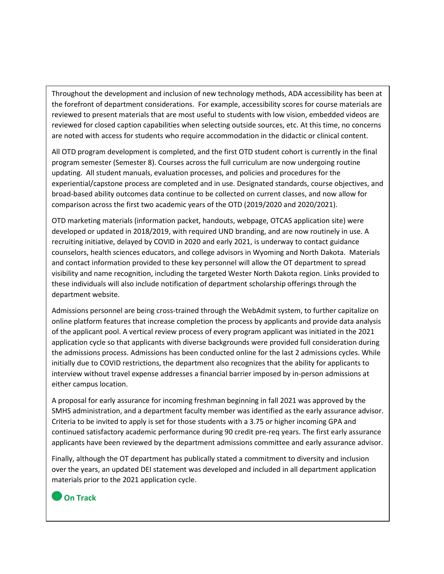Throughout the development and inclusion of new technology methods, ADA accessibility has been at the forefront of department considerations. For example, accessibility scores for course materials are reviewed to present materials that are most useful to students with low vision, embedded videos are reviewed for closed caption capabilities when selecting outside sources, etc. At this time, no concerns are noted with access for students who require accommodation in the didactic or clinical content.

All OTD program development is completed, and the first OTD student cohort is currently in the final program semester (Semester 8). Courses across the full curriculum are now undergoing routine updating. All student manuals, evaluation processes, and policies and procedures for the experiential/capstone process are completed and in use. Designated standards, course objectives, and broad-based ability outcomes data continue to be collected on current classes, and now allow for comparison across the first two academic years of the OTD (2019/2020 and 2020/2021).

OTD marketing materials (information packet, handouts, webpage, OTCAS application site) were developed or updated in 2018/2019, with required UND branding, and are now routinely in use. A recruiting initiative, delayed by COVID in 2020 and early 2021, is underway to contact guidance counselors, health sciences educators, and college advisors in Wyoming and North Dakota. Materials and contact information provided to these key personnel will allow the OT department to spread visibility and name recognition, including the targeted Wester North Dakota region. Links provided to these individuals will also include notification of department scholarship offerings through the department website.

Admissions personnel are being cross-trained through the WebAdmit system, to further capitalize on online platform features that increase completion the process by applicants and provide data analysis of the applicant pool. A vertical review process of every program applicant was initiated in the 2021 application cycle so that applicants with diverse backgrounds were provided full consideration during the admissions process. Admissions has been conducted online for the last 2 admissions cycles. While initially due to COVID restrictions, the department also recognizes that the ability for applicants to interview without travel expense addresses a financial barrier imposed by in-person admissions at either campus location.

A proposal for early assurance for incoming freshman beginning in fall 2021 was approved by the SMHS administration, and a department faculty member was identified as the early assurance advisor. Criteria to be invited to apply is set for those students with a 3.75 or higher incoming GPA and continued satisfactory academic performance during 90 credit pre-req years. The first early assurance applicants have been reviewed by the department admissions committee and early assurance advisor.

Finally, although the OT department has publically stated a commitment to diversity and inclusion over the years, an updated DEI statement was developed and included in all department application materials prior to the 2021 application cycle.

## **On Track**